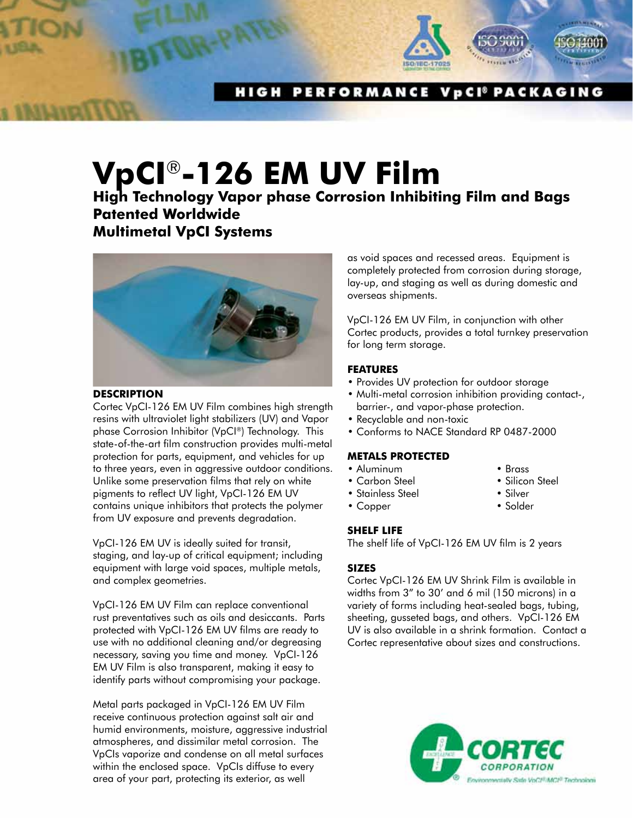

PERFORMANCE VpCI<sup>®</sup> PACKAGING H I G H

# **VpCI**®**-126 EM UV Film**

**High Technology Vapor phase Corrosion Inhibiting Film and Bags Patented Worldwide Multimetal VpCI Systems**



#### **description**

Cortec VpCI-126 EM UV Film combines high strength resins with ultraviolet light stabilizers (UV) and Vapor phase Corrosion Inhibitor (VpCI®) Technology. This state-of-the-art film construction provides multi-metal protection for parts, equipment, and vehicles for up to three years, even in aggressive outdoor conditions. Unlike some preservation films that rely on white pigments to reflect UV light, VpCI-126 EM UV contains unique inhibitors that protects the polymer from UV exposure and prevents degradation.

VpCI-126 EM UV is ideally suited for transit, staging, and lay-up of critical equipment; including equipment with large void spaces, multiple metals, and complex geometries.

VpCI-126 EM UV Film can replace conventional rust preventatives such as oils and desiccants. Parts protected with VpCI-126 EM UV films are ready to use with no additional cleaning and/or degreasing necessary, saving you time and money. VpCI-126 EM UV Film is also transparent, making it easy to identify parts without compromising your package.

Metal parts packaged in VpCI-126 EM UV Film receive continuous protection against salt air and humid environments, moisture, aggressive industrial atmospheres, and dissimilar metal corrosion. The VpCIs vaporize and condense on all metal surfaces within the enclosed space. VpCIs diffuse to every area of your part, protecting its exterior, as well

as void spaces and recessed areas. Equipment is completely protected from corrosion during storage, lay-up, and staging as well as during domestic and overseas shipments.

VpCI-126 EM UV Film, in conjunction with other Cortec products, provides a total turnkey preservation for long term storage.

## **Features**

- Provides UV protection for outdoor storage
- Multi-metal corrosion inhibition providing contact-, barrier-, and vapor-phase protection.
- Recyclable and non-toxic
- Conforms to NACE Standard RP 0487-2000

### **METALS PROTECTED**

- Aluminum Brass
- Carbon Steel Silicon Steel
- Stainless Steel Silver
- Copper Solder
- **SHELF LIFE**

The shelf life of VpCI-126 EM UV film is 2 years

# **SIZES**

Cortec VpCI-126 EM UV Shrink Film is available in widths from 3" to 30' and 6 mil (150 microns) in a variety of forms including heat-sealed bags, tubing, sheeting, gusseted bags, and others. VpCI-126 EM UV is also available in a shrink formation. Contact a Cortec representative about sizes and constructions.